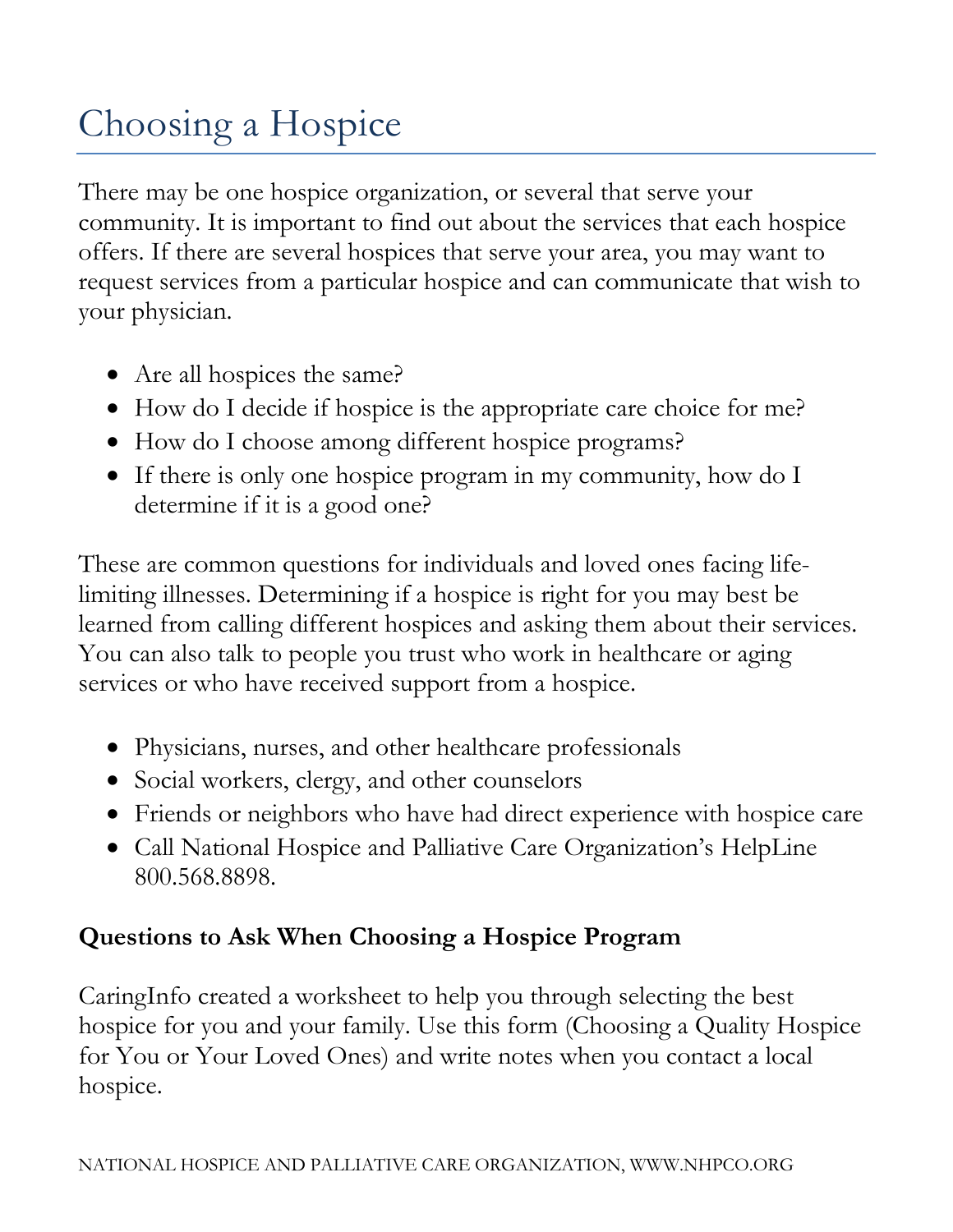# Choosing a Hospice

There may be one hospice organization, or several that serve your community. It is important to find out about the services that each hospice offers. If there are several hospices that serve your area, you may want to request services from a particular hospice and can communicate that wish to your physician.

- Are all hospices the same?
- How do I decide if hospice is the appropriate care choice for me?
- How do I choose among different hospice programs?
- If there is only one hospice program in my community, how do I determine if it is a good one?

These are common questions for individuals and loved ones facing lifelimiting illnesses. Determining if a hospice is right for you may best be learned from calling different hospices and asking them about their services. You can also talk to people you trust who work in healthcare or aging services or who have received support from a hospice.

- Physicians, nurses, and other healthcare professionals
- Social workers, clergy, and other counselors
- Friends or neighbors who have had direct experience with hospice care
- Call National Hospice and Palliative Care Organization's HelpLine 800.568.8898.

# **Questions to Ask When Choosing a Hospice Program**

CaringInfo created a worksheet to help you through selecting the best hospice for you and your family. Use this form (Choosing a Quality Hospice for You or Your Loved Ones) and write notes when you contact a local hospice.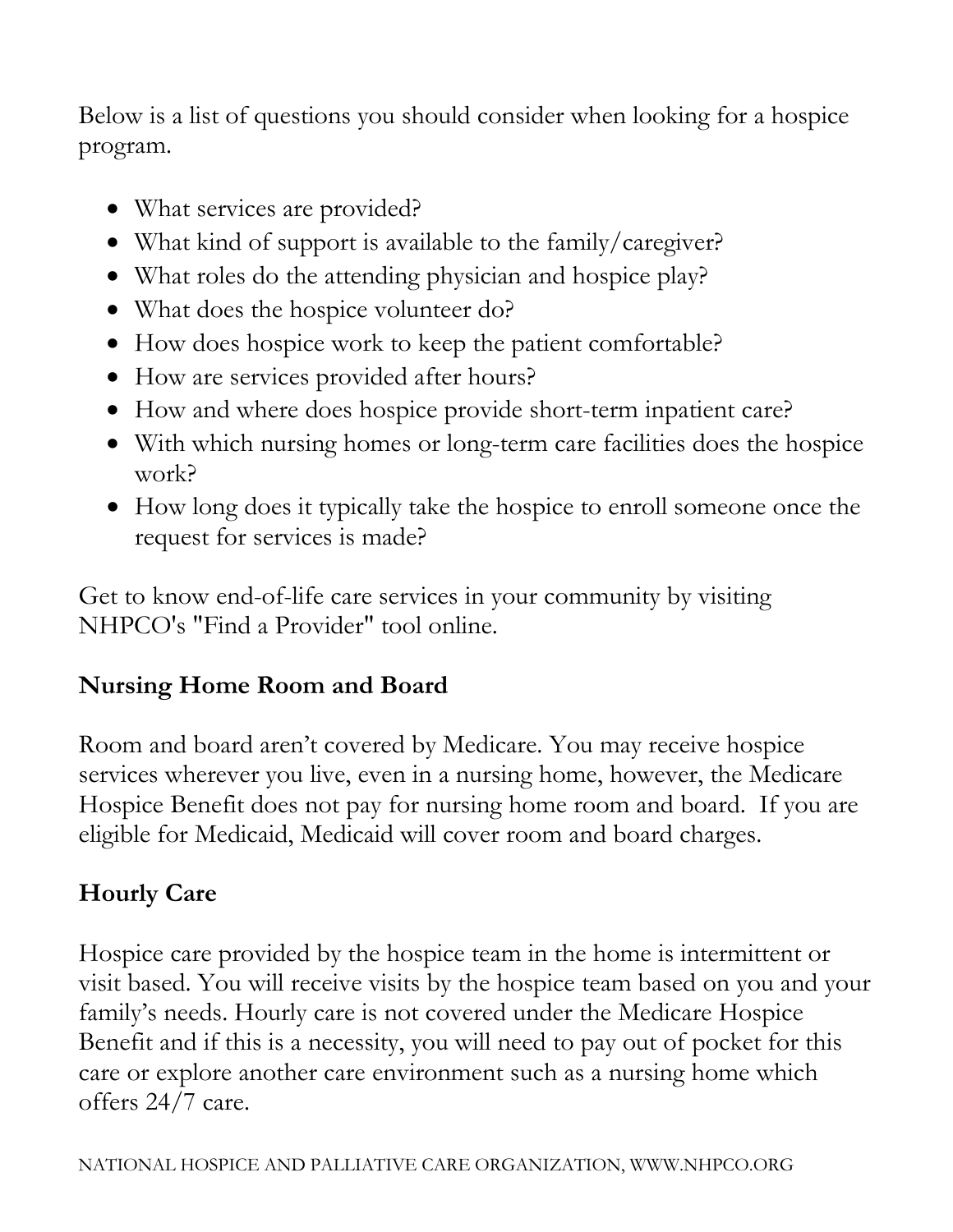Below is a list of questions you should consider when looking for a hospice program.

- What services are provided?
- What kind of support is available to the family/caregiver?
- What roles do the attending physician and hospice play?
- What does the hospice volunteer do?
- How does hospice work to keep the patient comfortable?
- How are services provided after hours?
- How and where does hospice provide short-term inpatient care?
- With which nursing homes or long-term care facilities does the hospice work?
- How long does it typically take the hospice to enroll someone once the request for services is made?

Get to know end-of-life care services in your community by visiting NHPCO's "Find a Provider" tool online.

# **Nursing Home Room and Board**

Room and board aren't covered by Medicare. You may receive hospice services wherever you live, even in a nursing home, however, the Medicare Hospice Benefit does not pay for nursing home room and board. If you are eligible for Medicaid, Medicaid will cover room and board charges.

# **Hourly Care**

Hospice care provided by the hospice team in the home is intermittent or visit based. You will receive visits by the hospice team based on you and your family's needs. Hourly care is not covered under the Medicare Hospice Benefit and if this is a necessity, you will need to pay out of pocket for this care or explore another care environment such as a nursing home which offers 24/7 care.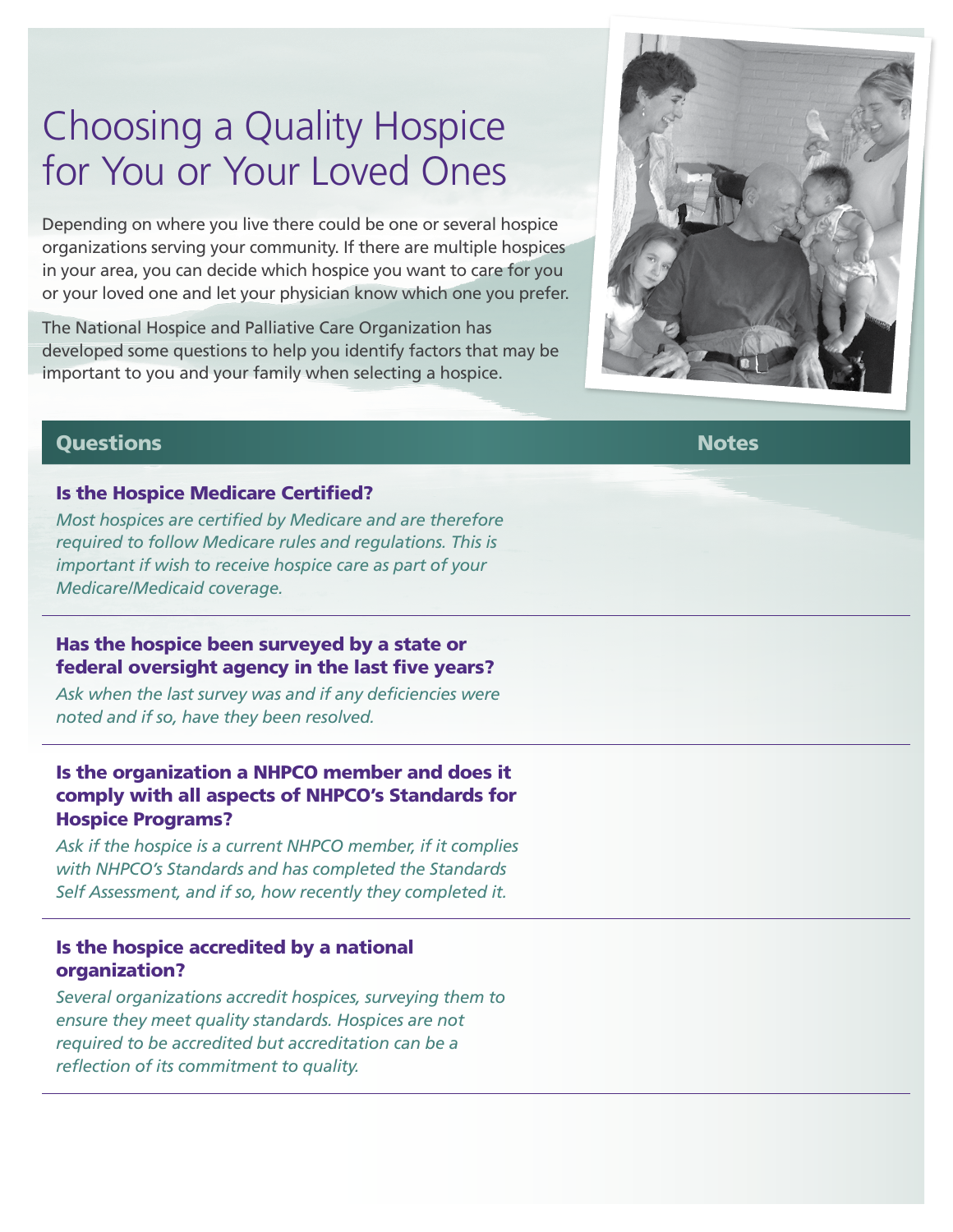# Choosing a Quality Hospice for You or Your Loved Ones

Depending on where you live there could be one or several hospice organizations serving your community. If there are multiple hospices in your area, you can decide which hospice you want to care for you or your loved one and let your physician know which one you prefer.

The National Hospice and Palliative Care Organization has developed some questions to help you identify factors that may be important to you and your family when selecting a hospice.



#### Questions Notes

#### Is the Hospice Medicare Certified?

*Most hospices are certified by Medicare and are therefore required to follow Medicare rules and regulations. This is important if wish to receive hospice care as part of your Medicare/Medicaid coverage.*

#### Has the hospice been surveyed by a state or federal oversight agency in the last five years?

*Ask when the last survey was and if any deficiencies were noted and if so, have they been resolved.* 

### Is the organization a NHPCO member and does it comply with all aspects of NHPCO's Standards for Hospice Programs?

*Ask if the hospice is a current NHPCO member, if it complies with NHPCO's Standards and has completed the Standards Self Assessment, and if so, how recently they completed it.*

#### Is the hospice accredited by a national organization?

*Several organizations accredit hospices, surveying them to ensure they meet quality standards. Hospices are not required to be accredited but accreditation can be a reflection of its commitment to quality.*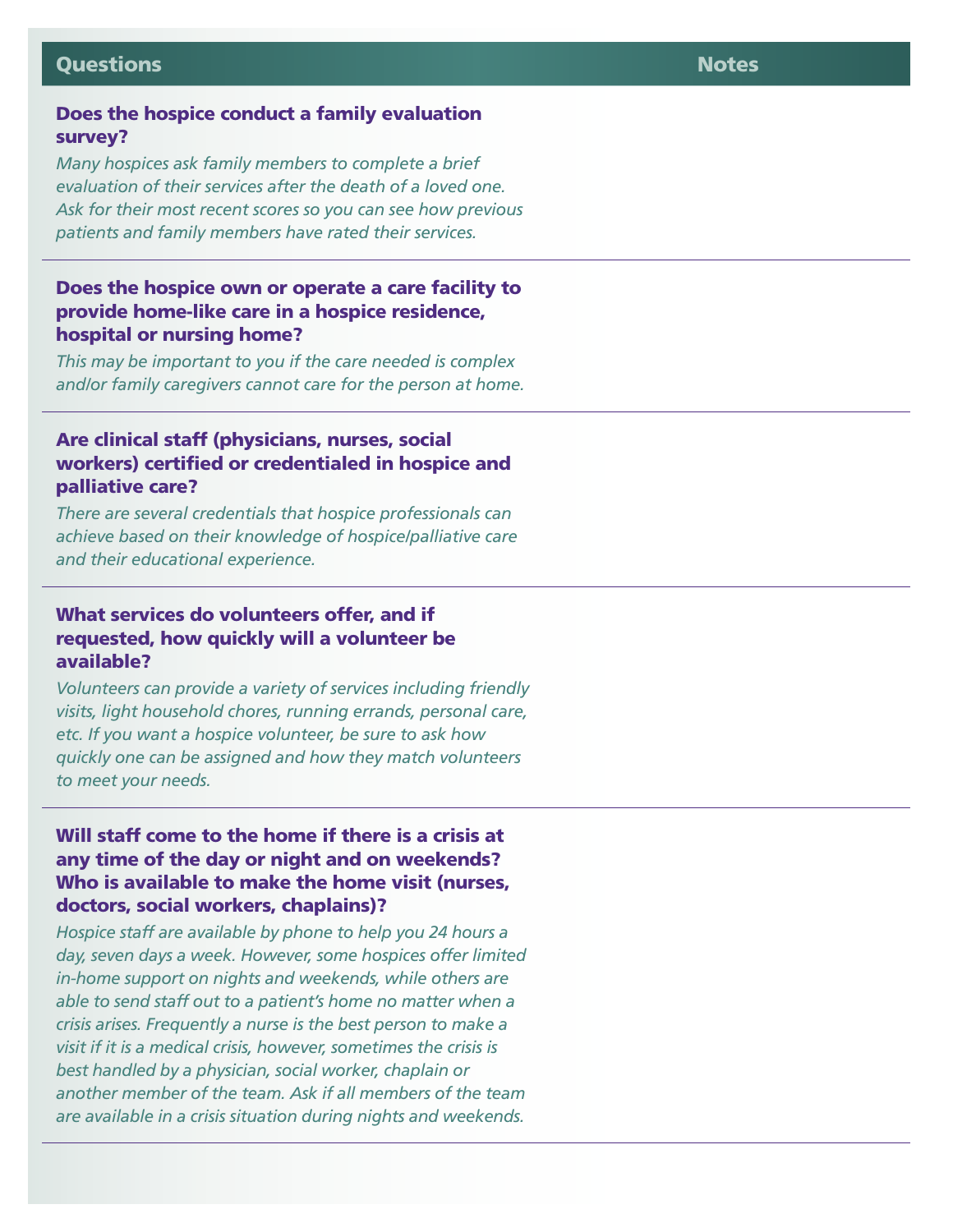#### Questions Notes

#### Does the hospice conduct a family evaluation survey?

*Many hospices ask family members to complete a brief evaluation of their services after the death of a loved one. Ask for their most recent scores so you can see how previous patients and family members have rated their services.*

#### Does the hospice own or operate a care facility to provide home-like care in a hospice residence, hospital or nursing home?

*This may be important to you if the care needed is complex and/or family caregivers cannot care for the person at home.*

#### Are clinical staff (physicians, nurses, social workers) certified or credentialed in hospice and palliative care?

*There are several credentials that hospice professionals can achieve based on their knowledge of hospice/palliative care and their educational experience.*

#### What services do volunteers offer, and if requested, how quickly will a volunteer be available?

*Volunteers can provide a variety of services including friendly visits, light household chores, running errands, personal care, etc. If you want a hospice volunteer, be sure to ask how quickly one can be assigned and how they match volunteers to meet your needs.*

#### Will staff come to the home if there is a crisis at any time of the day or night and on weekends? Who is available to make the home visit (nurses, doctors, social workers, chaplains)?

*Hospice staff are available by phone to help you 24 hours a day, seven days a week. However, some hospices offer limited in-home support on nights and weekends, while others are able to send staff out to a patient's home no matter when a crisis arises. Frequently a nurse is the best person to make a visit if it is a medical crisis, however, sometimes the crisis is best handled by a physician, social worker, chaplain or another member of the team. Ask if all members of the team are available in a crisis situation during nights and weekends.*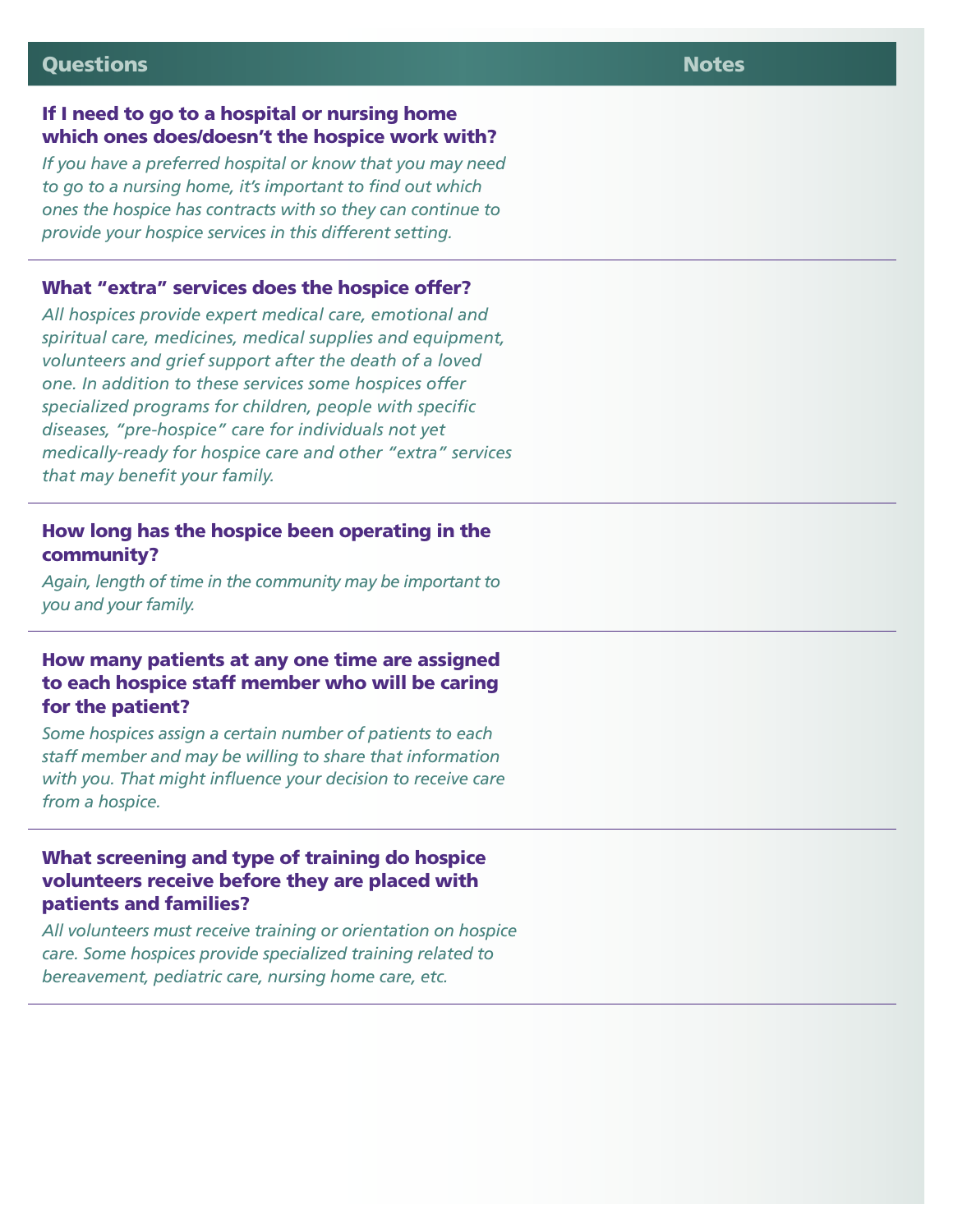#### Questions Notes

#### If I need to go to a hospital or nursing home which ones does/doesn't the hospice work with?

*If you have a preferred hospital or know that you may need to go to a nursing home, it's important to find out which ones the hospice has contracts with so they can continue to provide your hospice services in this different setting.*

#### What "extra" services does the hospice offer?

*All hospices provide expert medical care, emotional and spiritual care, medicines, medical supplies and equipment, volunteers and grief support after the death of a loved one. In addition to these services some hospices offer specialized programs for children, people with specific diseases, "pre-hospice" care for individuals not yet medically-ready for hospice care and other "extra" services that may benefit your family.*

#### How long has the hospice been operating in the community?

*Again, length of time in the community may be important to you and your family.*

#### How many patients at any one time are assigned to each hospice staff member who will be caring for the patient?

*Some hospices assign a certain number of patients to each staff member and may be willing to share that information with you. That might influence your decision to receive care from a hospice.*

#### What screening and type of training do hospice volunteers receive before they are placed with patients and families?

*All volunteers must receive training or orientation on hospice care. Some hospices provide specialized training related to bereavement, pediatric care, nursing home care, etc.*